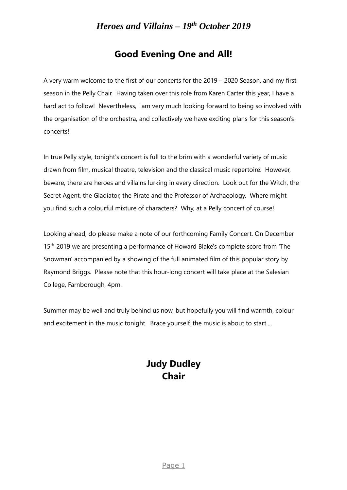## **Good Evening One and All!**

 A very warm welcome to the first of our concerts for the 2019 – 2020 Season, and my first season in the Pelly Chair. Having taken over this role from Karen Carter this year, I have a hard act to follow! Nevertheless, I am very much looking forward to being so involved with the organisation of the orchestra, and collectively we have exciting plans for this season's concerts!

 In true Pelly style, tonight's concert is full to the brim with a wonderful variety of music drawn from film, musical theatre, television and the classical music repertoire. However, beware, there are heroes and villains lurking in every direction. Look out for the Witch, the Secret Agent, the Gladiator, the Pirate and the Professor of Archaeology. Where might you find such a colourful mixture of characters? Why, at a Pelly concert of course!

 Looking ahead, do please make a note of our forthcoming Family Concert. On December 15<sup>th</sup> 2019 we are presenting a performance of Howard Blake's complete score from 'The Snowman' accompanied by a showing of the full animated film of this popular story by Raymond Briggs. Please note that this hour-long concert will take place at the Salesian College, Farnborough, 4pm.

 Summer may be well and truly behind us now, but hopefully you will find warmth, colour and excitement in the music tonight. Brace yourself, the music is about to start....

# **Judy Dudley Chair**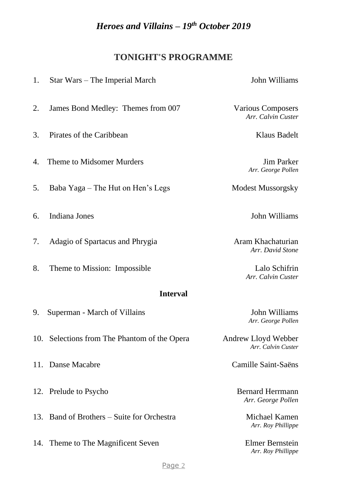# **TONIGHT'S PROGRAMME**

| 1.              | Star Wars – The Imperial March               | John Williams                                  |  |  |
|-----------------|----------------------------------------------|------------------------------------------------|--|--|
| 2.              | James Bond Medley: Themes from 007           | <b>Various Composers</b><br>Arr. Calvin Custer |  |  |
| 3.              | Pirates of the Caribbean                     | <b>Klaus Badelt</b>                            |  |  |
| 4.              | Theme to Midsomer Murders                    | <b>Jim Parker</b><br>Arr. George Pollen        |  |  |
| 5.              | Baba Yaga – The Hut on Hen's Legs            | <b>Modest Mussorgsky</b>                       |  |  |
| 6.              | Indiana Jones                                | John Williams                                  |  |  |
| 7.              | Adagio of Spartacus and Phrygia              | Aram Khachaturian<br>Arr. David Stone          |  |  |
| 8.              | Theme to Mission: Impossible                 | Lalo Schifrin<br>Arr. Calvin Custer            |  |  |
| <b>Interval</b> |                                              |                                                |  |  |
| 9.              | Superman - March of Villains                 | John Williams<br>Arr. George Pollen            |  |  |
|                 | 10. Selections from The Phantom of the Opera | Andrew Lloyd Webber<br>Arr. Calvin Custer      |  |  |
| 11.             | Danse Macabre                                | Camille Saint-Saëns                            |  |  |
| 12.             | Prelude to Psycho                            | <b>Bernard Herrmann</b><br>Arr. George Pollen  |  |  |
| 13.             | Band of Brothers – Suite for Orchestra       | Michael Kamen<br>Arr. Roy Phillippe            |  |  |
| 14.             | Theme to The Magnificent Seven               | Elmer Bernstein<br>Arr. Roy Phillippe          |  |  |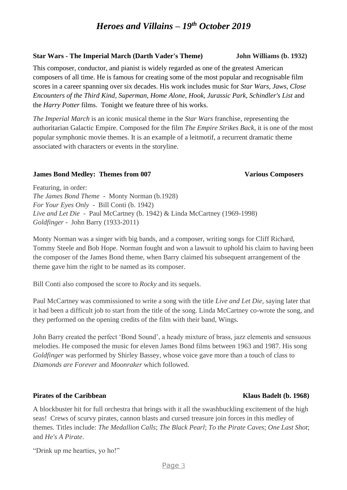### **Star Wars - The Imperial March (Darth Vader's Theme) John Williams (b. 1932)**

This composer, conductor, and pianist is widely regarded as one of the greatest American composers of all time. He is famous for creating some of the most popular and recognisable film scores in a career spanning over six decades. His work includes music for *Star Wars, Jaws, Close Encounters of the Third Kind, Superman, Home Alone, Hook, Jurassic Park, Schindler's List* and the *Harry Potter* films. Tonight we feature three of his works.

*The Imperial March* is an iconic musical theme in the *Star Wars* franchise, representing the authoritarian Galactic Empire. Composed for the film *The Empire Strikes Back*, it is one of the most popular symphonic movie themes. It is an example of a leitmotif, a recurrent dramatic theme associated with characters or events in the storyline.

### **James Bond Medley: Themes from 007 Various Composers**

Featuring, in order: *The James Bond Theme -* Monty Norman (b.1928) *For Your Eyes Only -* Bill Conti (b. 1942) *Live and Let Die* - Paul McCartney (b. 1942) & Linda McCartney (1969-1998) *Goldfinger -* John Barry (1933-2011)

Monty Norman was a singer with big bands, and a composer, writing songs for Cliff Richard, Tommy Steele and Bob Hope. Norman fought and won a lawsuit to uphold his claim to having been the composer of the James Bond theme, when Barry claimed his subsequent arrangement of the theme gave him the right to be named as its composer.

Bill Conti also composed the score to *Rocky* and its sequels.

Paul McCartney was commissioned to write a song with the title *Live and Let Die,* saying later that it had been a difficult job to start from the title of the song. Linda McCartney co-wrote the song, and they performed on the opening credits of the film with their band, Wings.

John Barry created the perfect 'Bond Sound', a heady mixture of brass, jazz elements and sensuous melodies. He composed the music for eleven James Bond films between 1963 and 1987. His song *Goldfinger* was performed by Shirley Bassey, whose voice gave more than a touch of class to *Diamonds are Forever* and *Moonraker* which followed.

### **Pirates of the Caribbean Klaus Badelt** (b. 1968)

A blockbuster hit for full orchestra that brings with it all the swashbuckling excitement of the high seas! Crews of scurvy pirates, cannon blasts and cursed treasure join forces in this medley of themes. Titles include: *The Medallion Calls*; *The Black Pearl*; *To the Pirate Caves*; *One Last Shot*; and *He's A Pirate*.

"Drink up me hearties, yo ho!"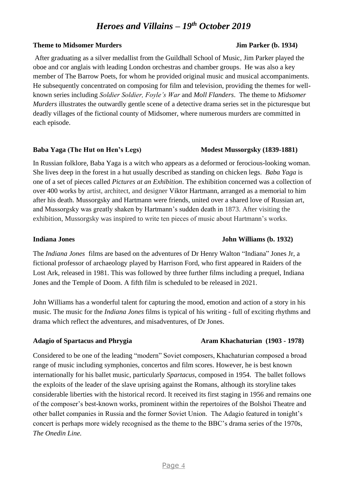#### **Theme to Midsomer Murders** Jim Parker (b. 1934)

After graduating as a silver medallist from the Guildhall School of Music, Jim Parker played the oboe and cor anglais with leading London orchestras and chamber groups. He was also a key member of The Barrow Poets, for whom he provided original music and musical accompaniments. He subsequently concentrated on composing for film and television, providing the themes for wellknown series including *Soldier Soldier, Foyle's War* and *Moll Flanders*. The theme to *Midsomer Murders* illustrates the outwardly gentle scene of a detective drama series set in the picturesque but deadly villages of the fictional county of Midsomer, where numerous murders are committed in each episode.

### **Baba Yaga** (The Hut on Hen's Legs) Modest Mussorgsky (1839-1881)

In Russian folklore, Baba Yaga is a witch who appears as a deformed or ferocious-looking woman. She lives deep in the forest in a hut usually described as standing on chicken legs. *Baba Yaga* is one of a set of pieces called *Pictures at an Exhibition*. The exhibition concerned was a collection of over 400 works by artist, architect, and designer Viktor Hartmann, arranged as a memorial to him after his death. Mussorgsky and Hartmann were friends, united over a shared love of Russian art, and Mussorgsky was greatly shaken by Hartmann's sudden death in 1873. After visiting the exhibition, Mussorgsky was inspired to write ten pieces of music about Hartmann's works.

### **Indiana Jones John Williams (b. 1932)**

The *Indiana Jones* films are based on the adventures of Dr Henry Walton "Indiana" Jones Jr, a fictional professor of archaeology played by Harrison Ford, who first appeared in Raiders of the Lost Ark*,* released in 1981. This was followed by three further films including a prequel, Indiana Jones and the Temple of Doom. A fifth film is scheduled to be released in 2021.

John Williams has a wonderful talent for capturing the mood, emotion and action of a story in his music. The music for the *Indiana Jones* films is typical of his writing - full of exciting rhythms and drama which reflect the adventures, and misadventures, of Dr Jones.

Considered to be one of the leading "modern" Soviet composers, Khachaturian composed a broad range of music including symphonies, concertos and film scores. However, he is best known internationally for his ballet music, particularly *Spartacus*, composed in 1954. The ballet follows the exploits of the leader of the slave uprising against the Romans, although its storyline takes considerable liberties with the historical record. It received its first staging in 1956 and remains one of the composer's best-known works, prominent within the repertoires of the Bolshoi Theatre and other ballet companies in Russia and the former Soviet Union. The Adagio featured in tonight's concert is perhaps more widely recognised as the theme to the BBC's drama series of the 1970s, *The Onedin Line.*

#### Page 4

### Adagio of Spartacus and Phrygia **Aram Khachaturian** (1903 - 1978)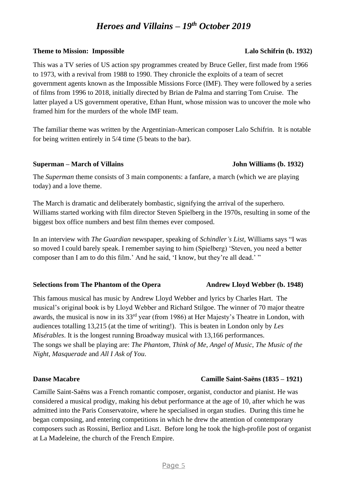### **Theme to Mission: Impossible Lalo Schifrin (b. 1932)**

This was a TV series of US action spy programmes created by Bruce Geller, first made from 1966 to 1973, with a revival from 1988 to 1990. They chronicle the exploits of a team of secret government agents known as the Impossible Missions Force (IMF). They were followed by a series of films from 1996 to 2018, initially directed by Brian de Palma and starring Tom Cruise. The latter played a US government operative, Ethan Hunt, whose mission was to uncover the mole who framed him for the murders of the whole IMF team.

The familiar theme was written by the Argentinian-American composer Lalo Schifrin. It is notable for being written entirely in 5/4 time (5 beats to the bar).

### **Superman – March of Villains John Williams (b. 1932)**

The *Superman* theme consists of 3 main components: a fanfare, a march (which we are playing today) and a love theme.

The March is dramatic and deliberately bombastic, signifying the arrival of the superhero. Williams started working with film director Steven Spielberg in the 1970s, resulting in some of the biggest box office numbers and best film themes ever composed.

In an interview with *The Guardian* newspaper, speaking of *Schindler's List*, Williams says "I was so moved I could barely speak. I remember saying to him (Spielberg) 'Steven, you need a better composer than I am to do this film.' And he said, 'I know, but they're all dead.' "

#### Selections from The Phantom of the Opera Andrew Lloyd Webber (b. 1948)

This famous musical has music by Andrew Lloyd Webber and lyrics by Charles Hart. The musical's original book is by Lloyd Webber and Richard Stilgoe. The winner of 70 major theatre awards, the musical is now in its 33<sup>rd</sup> year (from 1986) at Her Majesty's Theatre in London, with audiences totalling 13,215 (at the time of writing!). This is beaten in London only by *Les Misérables*. It is the longest running Broadway musical with 13,166 performances. The songs we shall be playing are: *The Phantom*, *Think of Me*, *Angel of Music*, *The Music of the Night*, *Masquerade* and *All I Ask of You*.

### **Danse Macabre Camille Saint-Saëns (1835 – 1921)**

Camille Saint-Saëns was a French romantic composer, organist, conductor and pianist. He was considered a musical prodigy, making his debut performance at the age of 10, after which he was admitted into the Paris Conservatoire, where he specialised in organ studies. During this time he began composing, and entering competitions in which he drew the attention of contemporary composers such as Rossini, Berlioz and Liszt. Before long he took the high-profile post of organist at La Madeleine, the church of the French Empire.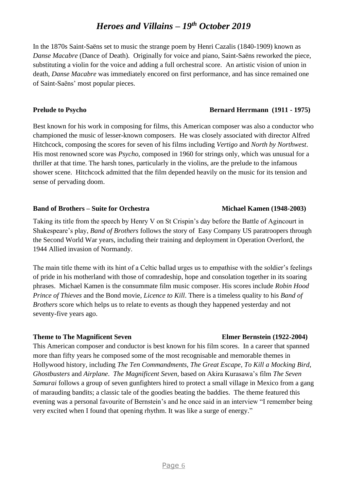In the 1870s Saint-Saëns set to music the strange poem by Henri Cazalis (1840-1909) known as *Danse Macabre* (Dance of Death). Originally for voice and piano, Saint-Saëns reworked the piece, substituting a violin for the voice and adding a full orchestral score. An artistic vision of union in death, *Danse Macabre* was immediately encored on first performance, and has since remained one of Saint-Saëns' most popular pieces.

### **Prelude to Psycho** Bernard Herrmann (1911 - 1975)

Best known for his work in composing for films, this American composer was also a conductor who championed the music of lesser-known composers. He was closely associated with director Alfred Hitchcock, composing the scores for seven of his films including *Vertigo* and *North by Northwest*. His most renowned score was *Psycho*, composed in 1960 for strings only, which was unusual for a thriller at that time. The harsh tones, particularly in the violins, are the prelude to the infamous shower scene. Hitchcock admitted that the film depended heavily on the music for its tension and sense of pervading doom.

### **Band of Brothers – Suite for Orchestra Michael Kamen (1948-2003)**

## Taking its title from the speech by Henry V on St Crispin's day before the Battle of Agincourt in Shakespeare's play, *Band of Brothers* follows the story of Easy Company US paratroopers through the Second World War years, including their training and deployment in Operation Overlord, the 1944 Allied invasion of Normandy.

The main title theme with its hint of a Celtic ballad urges us to empathise with the soldier's feelings of pride in his motherland with those of comradeship, hope and consolation together in its soaring phrases. Michael Kamen is the consummate film music composer. His scores include *Robin Hood Prince of Thieves* and the Bond movie, *Licence to Kill*. There is a timeless quality to his *Band of Brothers* score which helps us to relate to events as though they happened yesterday and not seventy-five years ago.

### **Theme to The Magnificent Seven Elmer Bernstein (1922-2004)**

This American composer and conductor is best known for his film scores. In a career that spanned more than fifty years he composed some of the most recognisable and memorable themes in Hollywood history, including *The Ten Commandments, The Great Escape, To Kill a Mocking Bird, Ghostbusters* and *Airplane*. *The Magnificent Seven*, based on Akira Kurasawa's film *The Seven Samurai* follows a group of seven gunfighters hired to protect a small village in Mexico from a gang of marauding bandits; a classic tale of the goodies beating the baddies. The theme featured this evening was a personal favourite of Bernstein's and he once said in an interview "I remember being very excited when I found that opening rhythm. It was like a surge of energy."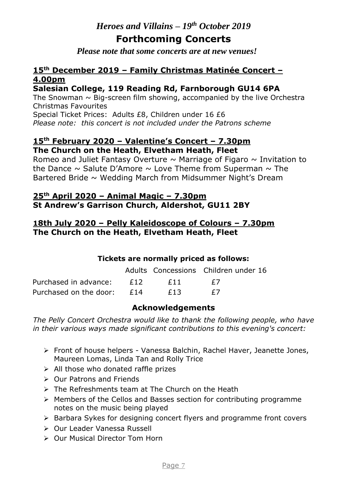# **Forthcoming Concerts**

*Please note that some concerts are at new venues!*

## **15th December 2019 – Family Christmas Matinée Concert – 4.00pm**

## **Salesian College, 119 Reading Rd, Farnborough GU14 6PA**

The Snowman  $\sim$  Big-screen film showing, accompanied by the live Orchestra Christmas Favourites

Special Ticket Prices: Adults £8, Children under 16 £6 *Please note: this concert is not included under the Patrons scheme*

### **15th February 2020 – Valentine's Concert – 7.30pm The Church on the Heath, Elvetham Heath, Fleet**

Romeo and Juliet Fantasy Overture  $\sim$  Marriage of Figaro  $\sim$  Invitation to the Dance  $\sim$  Salute D'Amore  $\sim$  Love Theme from Superman  $\sim$  The Bartered Bride  $\sim$  Wedding March from Midsummer Night's Dream

## **25th April 2020 – Animal Magic – 7.30pm St Andrew's Garrison Church, Aldershot, GU11 2BY**

## **18th July 2020 – Pelly Kaleidoscope of Colours – 7.30pm The Church on the Heath, Elvetham Heath, Fleet**

## **Tickets are normally priced as follows:**

|                              |     | Adults Concessions Children under 16 |
|------------------------------|-----|--------------------------------------|
| Purchased in advance: £12    | F11 | $\pm$ /                              |
| Purchased on the door: $£14$ | F13 | $\pm$ /                              |

## **Acknowledgements**

*The Pelly Concert Orchestra would like to thank the following people, who have in their various ways made significant contributions to this evening's concert:*

- ➢ Front of house helpers Vanessa Balchin, Rachel Haver, Jeanette Jones, Maureen Lomas, Linda Tan and Rolly Trice
- $\triangleright$  All those who donated raffle prizes
- ➢ Our Patrons and Friends
- ➢ The Refreshments team at The Church on the Heath
- ➢ Members of the Cellos and Basses section for contributing programme notes on the music being played
- ➢ Barbara Sykes for designing concert flyers and programme front covers
- ➢ Our Leader Vanessa Russell
- ➢ Our Musical Director Tom Horn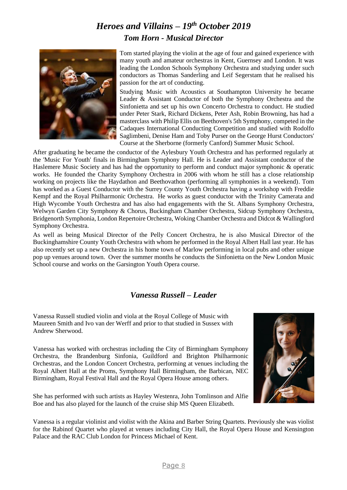# *Heroes and Villains – 19th October 2019 Tom Horn - Musical Director*



Tom started playing the violin at the age of four and gained experience with many youth and amateur orchestras in Kent, Guernsey and London. It was leading the London Schools Symphony Orchestra and studying under such conductors as Thomas Sanderling and Leif Segerstam that he realised his passion for the art of conducting.

Studying Music with Acoustics at Southampton University he became Leader & Assistant Conductor of both the Symphony Orchestra and the Sinfonietta and set up his own Concerto Orchestra to conduct. He studied under Peter Stark, Richard Dickens, Peter Ash, Robin Browning, has had a masterclass with Philip Ellis on Beethoven's 5th Symphony, competed in the Cadaques International Conducting Competition and studied with Rodolfo Saglimbeni, Denise Ham and Toby Purser on the George Hurst Conductors' Course at the Sherborne (formerly Canford) Summer Music School.

After graduating he became the conductor of the Aylesbury Youth Orchestra and has performed regularly at the 'Music For Youth' finals in Birmingham Symphony Hall. He is Leader and Assistant conductor of the Haslemere Music Society and has had the opportunity to perform and conduct major symphonic & operatic works. He founded the Charity Symphony Orchestra in 2006 with whom he still has a close relationship working on projects like the Haydathon and Beethovathon (performing all symphonies in a weekend). Tom has worked as a Guest Conductor with the Surrey County Youth Orchestra having a workshop with Freddie Kempf and the Royal Philharmonic Orchestra. He works as guest conductor with the Trinity Camerata and High Wycombe Youth Orchestra and has also had engagements with the St. Albans Symphony Orchestra, Welwyn Garden City Symphony & Chorus, Buckingham Chamber Orchestra, Sidcup Symphony Orchestra, Bridgenorth Symphonia, London Repertoire Orchestra, Woking Chamber Orchestra and Didcot & Wallingford Symphony Orchestra.

As well as being Musical Director of the Pelly Concert Orchestra, he is also Musical Director of the Buckinghamshire County Youth Orchestra with whom he performed in the Royal Albert Hall last year. He has also recently set up a new Orchestra in his home town of Marlow performing in local pubs and other unique pop up venues around town. Over the summer months he conducts the Sinfonietta on the New London Music School course and works on the Garsington Youth Opera course.

## *Vanessa Russell – Leader*

Vanessa Russell studied violin and viola at the Royal College of Music with Maureen Smith and Ivo van der Werff and prior to that studied in Sussex with Andrew Sherwood.

Vanessa has worked with orchestras including the City of Birmingham Symphony Orchestra, the Brandenburg Sinfonia, Guildford and Brighton Philharmonic Orchestras, and the London Concert Orchestra, performing at venues including the Royal Albert Hall at the Proms, Symphony Hall Birmingham, the Barbican, NEC Birmingham, Royal Festival Hall and the Royal Opera House among others.

She has performed with such artists as Hayley Westenra, John Tomlinson and Alfie Boe and has also played for the launch of the cruise ship MS Queen Elizabeth.



Vanessa is a regular violinist and violist with the Akina and Barber String Quartets. Previously she was violist for the Rabinof Quartet who played at venues including City Hall, the Royal Opera House and Kensington Palace and the RAC Club London for Princess Michael of Kent.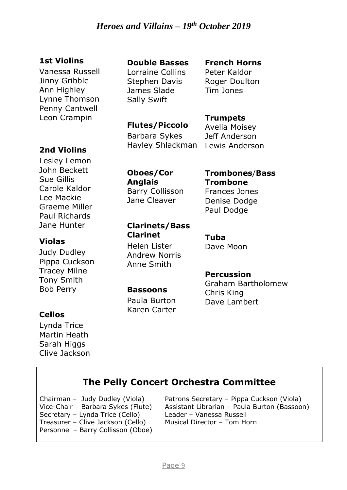## **1st Violins**

Vanessa Russell Jinny Gribble Ann Highley Lynne Thomson Penny Cantwell Leon Crampin

# **2nd Violins**

Lesley Lemon John Beckett Sue Gillis Carole Kaldor Lee Mackie Graeme Miller Paul Richards Jane Hunter

## **Violas**

Judy Dudley Pippa Cuckson Tracey Milne Tony Smith Bob Perry

# **Cellos**

Lynda Trice Martin Heath Sarah Higgs Clive Jackson

## **Double Basses**

Lorraine Collins Stephen Davis James Slade Sally Swift

### **French Horns** Peter Kaldor Roger Doulton Tim Jones

# **Flutes/Piccolo**

Barbara Sykes Hayley Shlackman

**Trumpets** Avelia Moisey Jeff Anderson Lewis Anderson

**Oboes/Cor Anglais** Barry Collisson Jane Cleaver

**Clarinets/Bass** 

## **Trombones**/**Bass Trombone** Frances Jones Denise Dodge

Paul Dodge

**Tuba** Dave Moon

## **Percussion**

Graham Bartholomew Chris King Dave Lambert

### **Bassoons**

**Clarinet**

Helen Lister Andrew Norris Anne Smith

Paula Burton Karen Carter

# **The Pelly Concert Orchestra Committee**

Chairman – Judy Dudley (Viola) Vice-Chair – Barbara Sykes (Flute) Secretary – Lynda Trice (Cello) Treasurer – Clive Jackson (Cello) Personnel – Barry Collisson (Oboe)

Patrons Secretary – Pippa Cuckson (Viola) Assistant Librarian – Paula Burton (Bassoon) Leader – Vanessa Russell Musical Director – Tom Horn